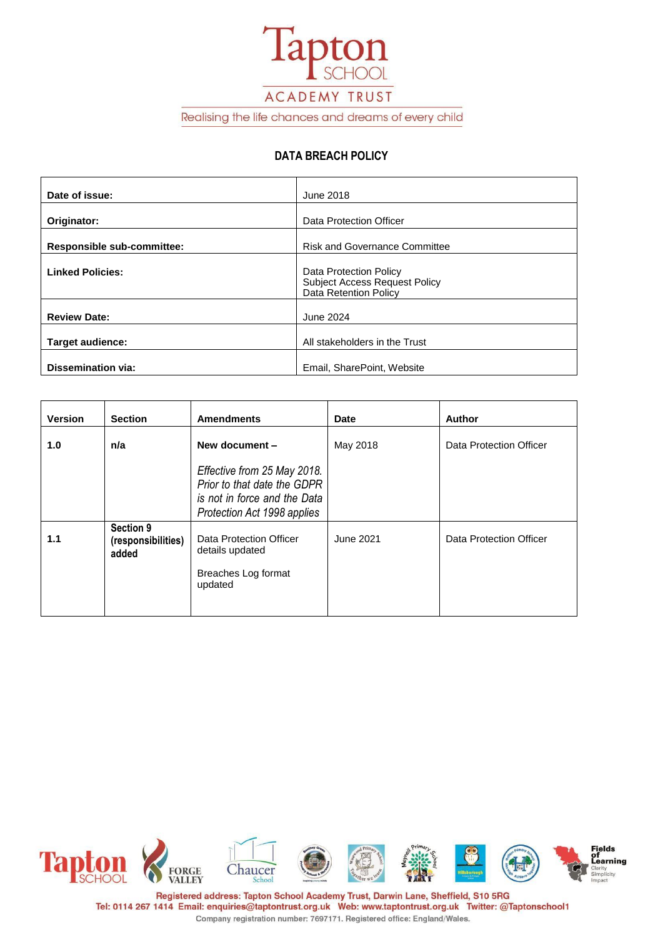

Realising the life chances and dreams of every child

### **DATA BREACH POLICY**

| Date of issue:             | June 2018                                                                                      |
|----------------------------|------------------------------------------------------------------------------------------------|
|                            |                                                                                                |
| Originator:                | Data Protection Officer                                                                        |
| Responsible sub-committee: | <b>Risk and Governance Committee</b>                                                           |
| <b>Linked Policies:</b>    | Data Protection Policy<br><b>Subject Access Request Policy</b><br><b>Data Retention Policy</b> |
| <b>Review Date:</b>        | June 2024                                                                                      |
| <b>Target audience:</b>    | All stakeholders in the Trust                                                                  |
| Dissemination via:         | Email, SharePoint, Website                                                                     |

| <b>Version</b> | <b>Section</b>                           | <b>Amendments</b>                                                                                                         | <b>Date</b> | Author                  |
|----------------|------------------------------------------|---------------------------------------------------------------------------------------------------------------------------|-------------|-------------------------|
| 1.0            | n/a                                      | New document -                                                                                                            | May 2018    | Data Protection Officer |
|                |                                          | Effective from 25 May 2018.<br>Prior to that date the GDPR<br>is not in force and the Data<br>Protection Act 1998 applies |             |                         |
| 1.1            | Section 9<br>(responsibilities)<br>added | Data Protection Officer<br>details updated<br>Breaches Log format<br>updated                                              | June 2021   | Data Protection Officer |

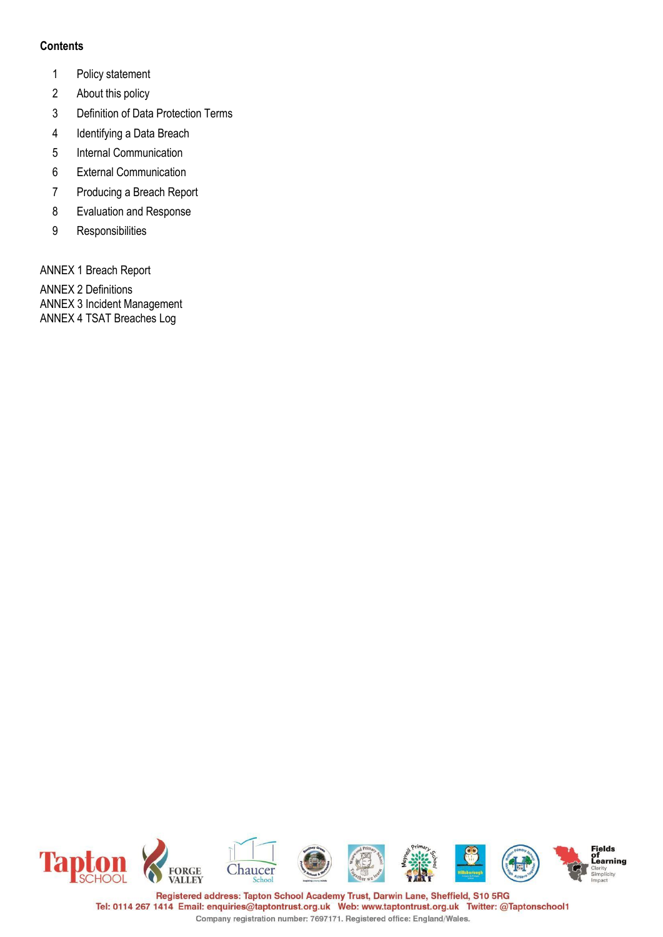### **Contents**

- 1 Policy statement
- 2 About this policy
- 3 Definition of Data Protection Terms
- 4 Identifying a Data Breach
- 5 Internal Communication
- 6 External Communication
- 7 Producing a Breach Report
- 8 Evaluation and Response
- 9 Responsibilities

ANNEX 1 Breach Report

ANNEX 2 Definitions ANNEX 3 Incident Management ANNEX 4 TSAT Breaches Log

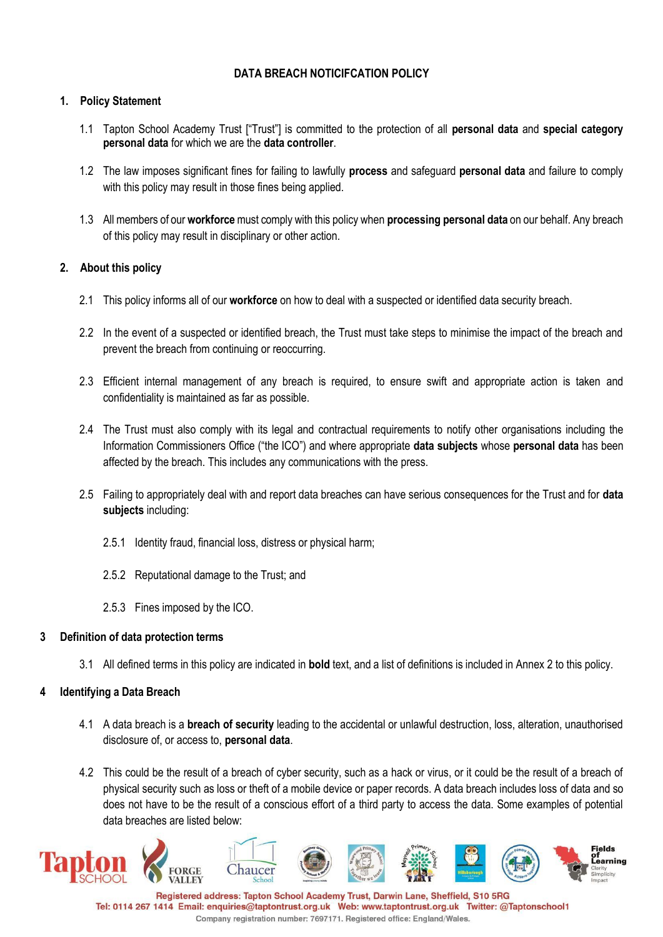# **DATA BREACH NOTICIFCATION POLICY**

### **1. Policy Statement**

- 1.1 Tapton School Academy Trust ["Trust"] is committed to the protection of all **personal data** and **special category personal data** for which we are the **data controller**.
- 1.2 The law imposes significant fines for failing to lawfully **process** and safeguard **personal data** and failure to comply with this policy may result in those fines being applied.
- 1.3 All members of our **workforce** must comply with this policy when **processing personal data** on our behalf. Any breach of this policy may result in disciplinary or other action.

### **2. About this policy**

- 2.1 This policy informs all of our **workforce** on how to deal with a suspected or identified data security breach.
- 2.2 In the event of a suspected or identified breach, the Trust must take steps to minimise the impact of the breach and prevent the breach from continuing or reoccurring.
- 2.3 Efficient internal management of any breach is required, to ensure swift and appropriate action is taken and confidentiality is maintained as far as possible.
- 2.4 The Trust must also comply with its legal and contractual requirements to notify other organisations including the Information Commissioners Office ("the ICO") and where appropriate **data subjects** whose **personal data** has been affected by the breach. This includes any communications with the press.
- 2.5 Failing to appropriately deal with and report data breaches can have serious consequences for the Trust and for **data subjects** including:
	- 2.5.1 Identity fraud, financial loss, distress or physical harm;
	- 2.5.2 Reputational damage to the Trust; and
	- 2.5.3 Fines imposed by the ICO.

### **3 Definition of data protection terms**

3.1 All defined terms in this policy are indicated in **bold** text, and a list of definitions is included in Annex 2 to this policy.

### **4 Identifying a Data Breach**

- 4.1 A data breach is a **breach of security** leading to the accidental or unlawful destruction, loss, alteration, unauthorised disclosure of, or access to, **personal data**.
- 4.2 This could be the result of a breach of cyber security, such as a hack or virus, or it could be the result of a breach of physical security such as loss or theft of a mobile device or paper records. A data breach includes loss of data and so does not have to be the result of a conscious effort of a third party to access the data. Some examples of potential data breaches are listed below:

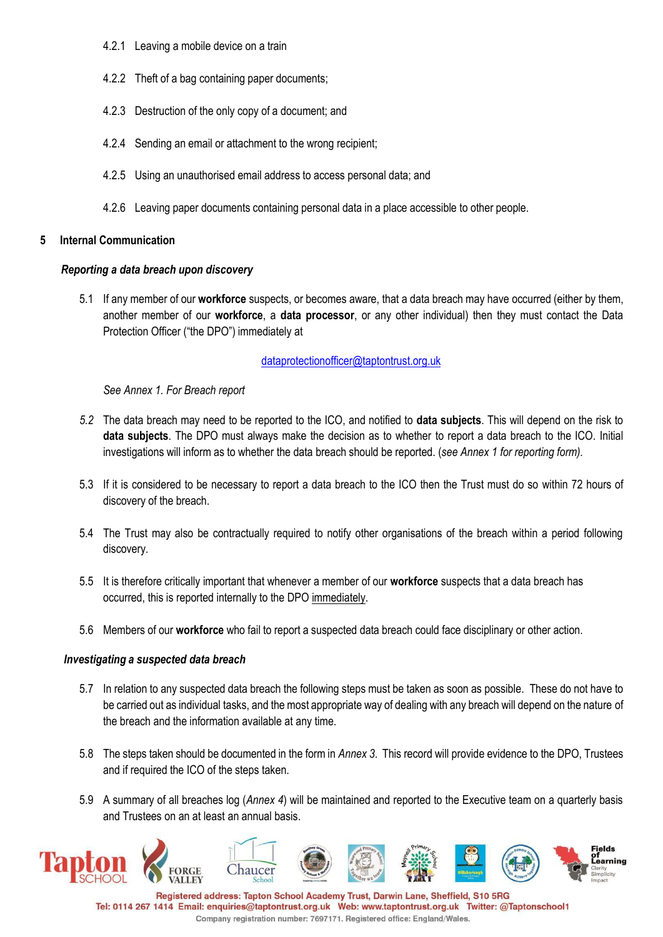- 4.2.1 Leaving a mobile device on a train
- 4.2.2 Theft of a bag containing paper documents;
- 4.2.3 Destruction of the only copy of a document; and
- 4.2.4 Sending an email or attachment to the wrong recipient;
- 4.2.5 Using an unauthorised email address to access personal data; and
- 4.2.6 Leaving paper documents containing personal data in a place accessible to other people.

### **5 Internal Communication**

### *Reporting a data breach upon discovery*

5.1 If any member of our **workforce** suspects, or becomes aware, that a data breach may have occurred (either by them, another member of our **workforce**, a **data processor**, or any other individual) then they must contact the Data Protection Officer ("the DPO") immediately at

### [dataprotectionofficer@taptontrust.org.uk](mailto:dataprotectionofficer@taptontrust.org.uk)

*See Annex 1. For Breach report*

- *5.2* The data breach may need to be reported to the ICO, and notified to **data subjects**. This will depend on the risk to **data subjects**. The DPO must always make the decision as to whether to report a data breach to the ICO. Initial investigations will inform as to whether the data breach should be reported. (*see Annex 1 for reporting form).*
- 5.3 If it is considered to be necessary to report a data breach to the ICO then the Trust must do so within 72 hours of discovery of the breach.
- 5.4 The Trust may also be contractually required to notify other organisations of the breach within a period following discovery.
- 5.5 It is therefore critically important that whenever a member of our **workforce** suspects that a data breach has occurred, this is reported internally to the DPO immediately.
- 5.6 Members of our **workforce** who fail to report a suspected data breach could face disciplinary or other action.

### *Investigating a suspected data breach*

- 5.7 In relation to any suspected data breach the following steps must be taken as soon as possible. These do not have to be carried out as individual tasks, and the most appropriate way of dealing with any breach will depend on the nature of the breach and the information available at any time.
- 5.8 The steps taken should be documented in the form in *Annex 3*. This record will provide evidence to the DPO, Trustees and if required the ICO of the steps taken.
- 5.9 A summary of all breaches log (*Annex 4*) will be maintained and reported to the Executive team on a quarterly basis and Trustees on an at least an annual basis.

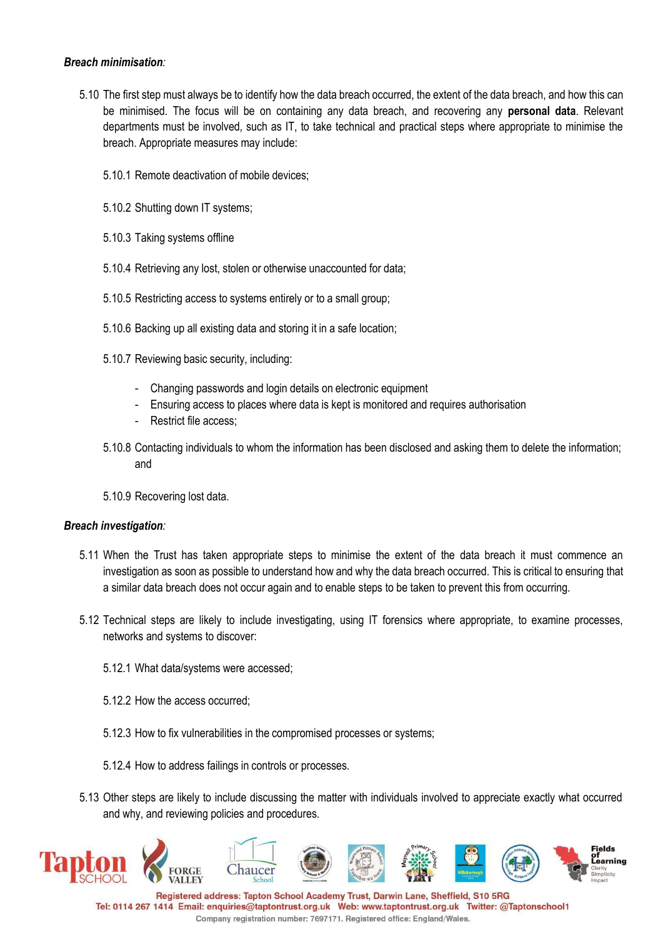### *Breach minimisation:*

- 5.10 The first step must always be to identify how the data breach occurred, the extent of the data breach, and how this can be minimised. The focus will be on containing any data breach, and recovering any **personal data**. Relevant departments must be involved, such as IT, to take technical and practical steps where appropriate to minimise the breach. Appropriate measures may include:
	- 5.10.1 Remote deactivation of mobile devices;
	- 5.10.2 Shutting down IT systems;
	- 5.10.3 Taking systems offline
	- 5.10.4 Retrieving any lost, stolen or otherwise unaccounted for data;
	- 5.10.5 Restricting access to systems entirely or to a small group;
	- 5.10.6 Backing up all existing data and storing it in a safe location;
	- 5.10.7 Reviewing basic security, including:
		- Changing passwords and login details on electronic equipment
		- Ensuring access to places where data is kept is monitored and requires authorisation
		- Restrict file access;
	- 5.10.8 Contacting individuals to whom the information has been disclosed and asking them to delete the information; and
	- 5.10.9 Recovering lost data.

#### *Breach investigation:*

- 5.11 When the Trust has taken appropriate steps to minimise the extent of the data breach it must commence an investigation as soon as possible to understand how and why the data breach occurred. This is critical to ensuring that a similar data breach does not occur again and to enable steps to be taken to prevent this from occurring.
- 5.12 Technical steps are likely to include investigating, using IT forensics where appropriate, to examine processes, networks and systems to discover:
	- 5.12.1 What data/systems were accessed;
	- 5.12.2 How the access occurred;
	- 5.12.3 How to fix vulnerabilities in the compromised processes or systems;
	- 5.12.4 How to address failings in controls or processes.
- 5.13 Other steps are likely to include discussing the matter with individuals involved to appreciate exactly what occurred and why, and reviewing policies and procedures.



Tel: 0114 267 1414 Email: enquiries@taptontrust.org.uk Web: www.taptontrust.org.uk Twitter: @Taptonschool1 Company registration number: 7697171. Registered office: England/Wales.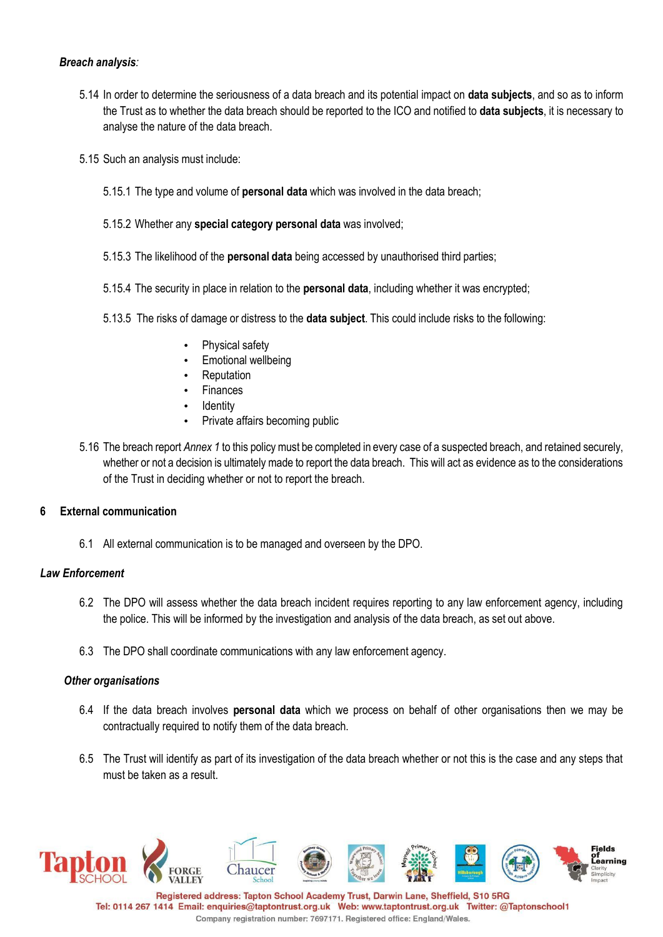### *Breach analysis:*

- 5.14 In order to determine the seriousness of a data breach and its potential impact on **data subjects**, and so as to inform the Trust as to whether the data breach should be reported to the ICO and notified to **data subjects**, it is necessary to analyse the nature of the data breach.
- 5.15 Such an analysis must include:
	- 5.15.1 The type and volume of **personal data** which was involved in the data breach;
	- 5.15.2 Whether any **special category personal data** was involved;
	- 5.15.3 The likelihood of the **personal data** being accessed by unauthorised third parties;
	- 5.15.4 The security in place in relation to the **personal data**, including whether it was encrypted;
	- 5.13.5 The risks of damage or distress to the **data subject**. This could include risks to the following:
		- Physical safety
		- Emotional wellbeing
		- **Reputation**
		- **Finances**
		- **Identity**
		- Private affairs becoming public
- 5.16 The breach report *Annex 1* to this policy must be completed in every case of a suspected breach, and retained securely, whether or not a decision is ultimately made to report the data breach. This will act as evidence as to the considerations of the Trust in deciding whether or not to report the breach.

### **6 External communication**

6.1 All external communication is to be managed and overseen by the DPO.

### *Law Enforcement*

- 6.2 The DPO will assess whether the data breach incident requires reporting to any law enforcement agency, including the police. This will be informed by the investigation and analysis of the data breach, as set out above.
- 6.3 The DPO shall coordinate communications with any law enforcement agency.

#### *Other organisations*

- 6.4 If the data breach involves **personal data** which we process on behalf of other organisations then we may be contractually required to notify them of the data breach.
- 6.5 The Trust will identify as part of its investigation of the data breach whether or not this is the case and any steps that must be taken as a result.

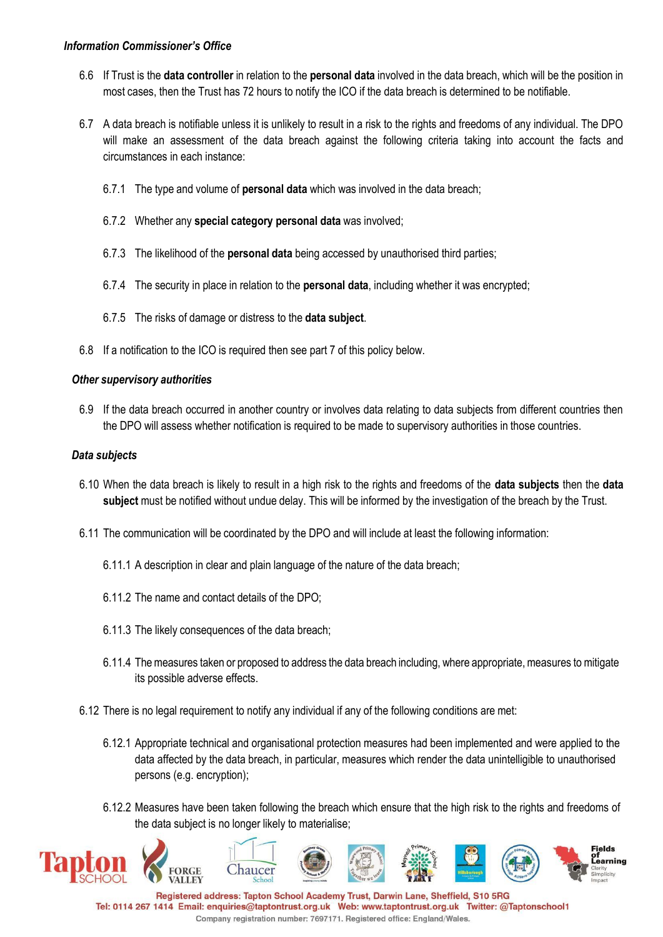- 6.6 If Trust is the **data controller** in relation to the **personal data** involved in the data breach, which will be the position in most cases, then the Trust has 72 hours to notify the ICO if the data breach is determined to be notifiable.
- 6.7 A data breach is notifiable unless it is unlikely to result in a risk to the rights and freedoms of any individual. The DPO will make an assessment of the data breach against the following criteria taking into account the facts and circumstances in each instance:
	- 6.7.1 The type and volume of **personal data** which was involved in the data breach;
	- 6.7.2 Whether any **special category personal data** was involved;
	- 6.7.3 The likelihood of the **personal data** being accessed by unauthorised third parties;
	- 6.7.4 The security in place in relation to the **personal data**, including whether it was encrypted;
	- 6.7.5 The risks of damage or distress to the **data subject**.
- 6.8 If a notification to the ICO is required then see part 7 of this policy below.

### *Other supervisory authorities*

6.9 If the data breach occurred in another country or involves data relating to data subjects from different countries then the DPO will assess whether notification is required to be made to supervisory authorities in those countries.

### *Data subjects*

- 6.10 When the data breach is likely to result in a high risk to the rights and freedoms of the **data subjects** then the **data subject** must be notified without undue delay. This will be informed by the investigation of the breach by the Trust.
- 6.11 The communication will be coordinated by the DPO and will include at least the following information:
	- 6.11.1 A description in clear and plain language of the nature of the data breach;
	- 6.11.2 The name and contact details of the DPO;
	- 6.11.3 The likely consequences of the data breach;
	- 6.11.4 The measures taken or proposed to address the data breach including, where appropriate, measures to mitigate its possible adverse effects.
- 6.12 There is no legal requirement to notify any individual if any of the following conditions are met:
	- 6.12.1 Appropriate technical and organisational protection measures had been implemented and were applied to the data affected by the data breach, in particular, measures which render the data unintelligible to unauthorised persons (e.g. encryption);
	- 6.12.2 Measures have been taken following the breach which ensure that the high risk to the rights and freedoms of the data subject is no longer likely to materialise;

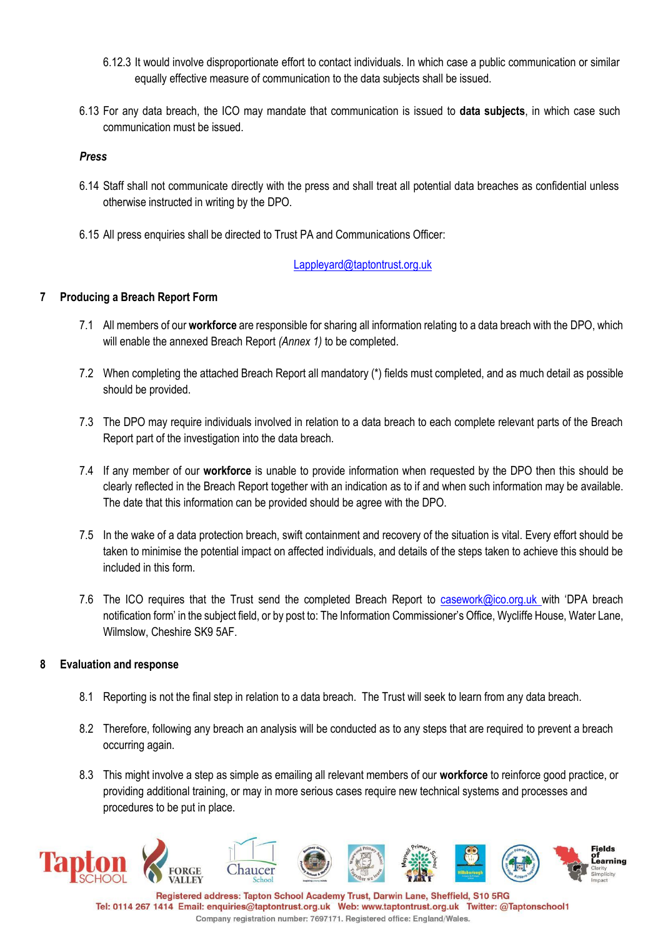- 6.12.3 It would involve disproportionate effort to contact individuals. In which case a public communication or similar equally effective measure of communication to the data subjects shall be issued.
- 6.13 For any data breach, the ICO may mandate that communication is issued to **data subjects**, in which case such communication must be issued.

#### *Press*

- 6.14 Staff shall not communicate directly with the press and shall treat all potential data breaches as confidential unless otherwise instructed in writing by the DPO.
- 6.15 All press enquiries shall be directed to Trust PA and Communications Officer:

[Lappleyard@taptontrust.org.uk](mailto:Lappleyard@taptontrust.org.uk)

### **7 Producing a Breach Report Form**

- 7.1 All members of our **workforce** are responsible for sharing all information relating to a data breach with the DPO, which will enable the annexed Breach Report *(Annex 1)* to be completed.
- 7.2 When completing the attached Breach Report all mandatory (\*) fields must completed, and as much detail as possible should be provided.
- 7.3 The DPO may require individuals involved in relation to a data breach to each complete relevant parts of the Breach Report part of the investigation into the data breach.
- 7.4 If any member of our **workforce** is unable to provide information when requested by the DPO then this should be clearly reflected in the Breach Report together with an indication as to if and when such information may be available. The date that this information can be provided should be agree with the DPO.
- 7.5 In the wake of a data protection breach, swift containment and recovery of the situation is vital. Every effort should be taken to minimise the potential impact on affected individuals, and details of the steps taken to achieve this should be included in this form.
- 7.6 The ICO requires that the Trust send the completed Breach Report to [casework@ico.org.uk](mailto:casework@ico.org.uk) with 'DPA breach notification form' in the subject field, or by post to: The Information Commissioner's Office, Wycliffe House, Water Lane, Wilmslow, Cheshire SK9 5AF.

### **8 Evaluation and response**

- 8.1 Reporting is not the final step in relation to a data breach. The Trust will seek to learn from any data breach.
- 8.2 Therefore, following any breach an analysis will be conducted as to any steps that are required to prevent a breach occurring again.
- 8.3 This might involve a step as simple as emailing all relevant members of our **workforce** to reinforce good practice, or providing additional training, or may in more serious cases require new technical systems and processes and procedures to be put in place.

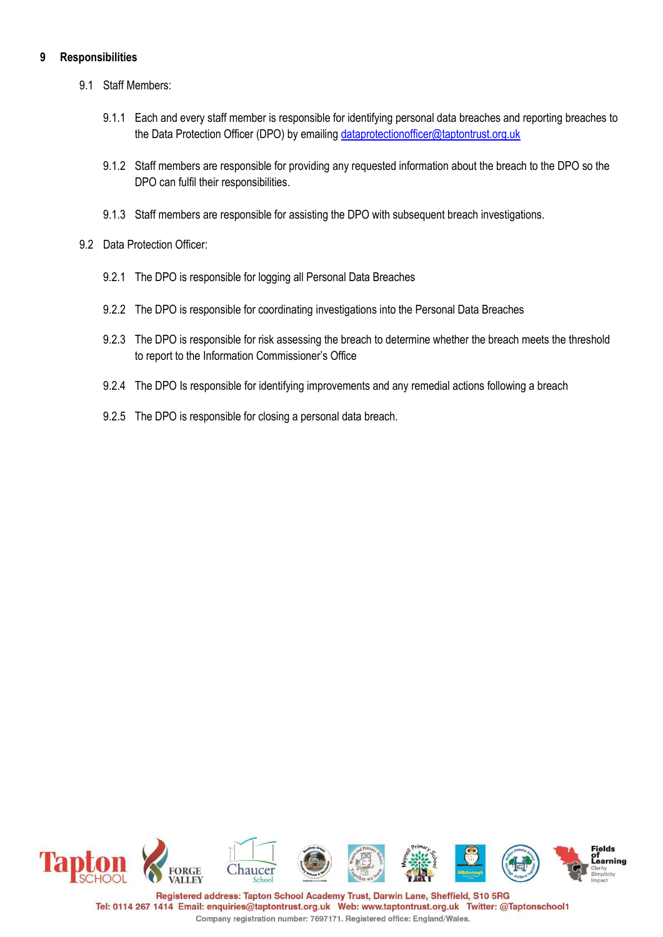### **9 Responsibilities**

- 9.1 Staff Members:
	- 9.1.1 Each and every staff member is responsible for identifying personal data breaches and reporting breaches to the Data Protection Officer (DPO) by emailing [dataprotectionofficer@taptontrust.org.uk](mailto:dataprotectionofficer@taptontrust.org.uk)
	- 9.1.2 Staff members are responsible for providing any requested information about the breach to the DPO so the DPO can fulfil their responsibilities.
	- 9.1.3 Staff members are responsible for assisting the DPO with subsequent breach investigations.
- 9.2 Data Protection Officer:
	- 9.2.1 The DPO is responsible for logging all Personal Data Breaches
	- 9.2.2 The DPO is responsible for coordinating investigations into the Personal Data Breaches
	- 9.2.3 The DPO is responsible for risk assessing the breach to determine whether the breach meets the threshold to report to the Information Commissioner's Office
	- 9.2.4 The DPO Is responsible for identifying improvements and any remedial actions following a breach
	- 9.2.5 The DPO is responsible for closing a personal data breach.

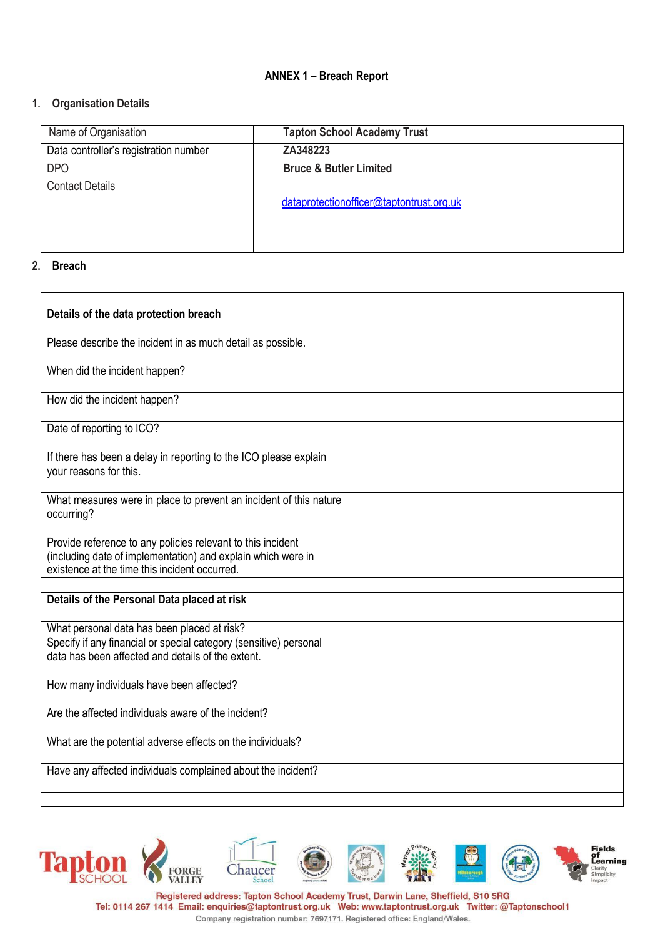### **ANNEX 1 – Breach Report**

### **1. Organisation Details**

| Name of Organisation                  | <b>Tapton School Academy Trust</b>       |
|---------------------------------------|------------------------------------------|
| Data controller's registration number | ZA348223                                 |
| <b>DPO</b>                            | <b>Bruce &amp; Butler Limited</b>        |
| <b>Contact Details</b>                |                                          |
|                                       | dataprotectionofficer@taptontrust.org.uk |
|                                       |                                          |
|                                       |                                          |

#### **2. Breach**

| Details of the data protection breach                                                                                                                                        |  |
|------------------------------------------------------------------------------------------------------------------------------------------------------------------------------|--|
| Please describe the incident in as much detail as possible.                                                                                                                  |  |
| When did the incident happen?                                                                                                                                                |  |
| How did the incident happen?                                                                                                                                                 |  |
| Date of reporting to ICO?                                                                                                                                                    |  |
| If there has been a delay in reporting to the ICO please explain<br>your reasons for this.                                                                                   |  |
| What measures were in place to prevent an incident of this nature<br>occurring?                                                                                              |  |
| Provide reference to any policies relevant to this incident<br>(including date of implementation) and explain which were in<br>existence at the time this incident occurred. |  |
|                                                                                                                                                                              |  |
| Details of the Personal Data placed at risk                                                                                                                                  |  |
| What personal data has been placed at risk?<br>Specify if any financial or special category (sensitive) personal<br>data has been affected and details of the extent.        |  |
| How many individuals have been affected?                                                                                                                                     |  |
| Are the affected individuals aware of the incident?                                                                                                                          |  |
| What are the potential adverse effects on the individuals?                                                                                                                   |  |
| Have any affected individuals complained about the incident?                                                                                                                 |  |
|                                                                                                                                                                              |  |



Tel: 0114 267 1414 Email: enquiries@taptontrust.org.uk Web: www.taptontrust.org.uk Twitter: @Taptonschool1 Company registration number: 7697171. Registered office: England/Wales.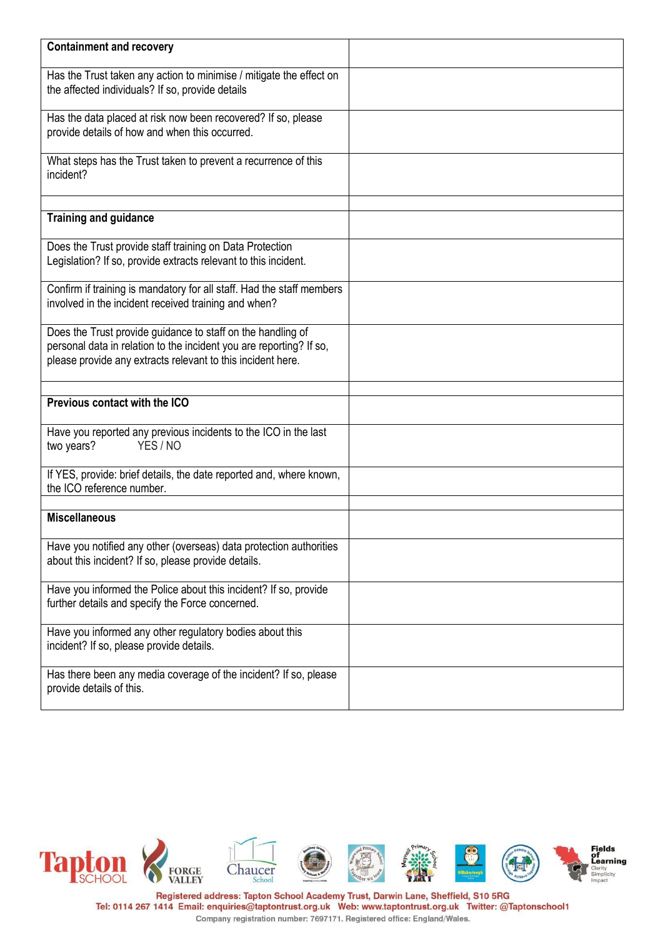| <b>Containment and recovery</b>                                                                                                                                                                   |  |
|---------------------------------------------------------------------------------------------------------------------------------------------------------------------------------------------------|--|
| Has the Trust taken any action to minimise / mitigate the effect on<br>the affected individuals? If so, provide details                                                                           |  |
| Has the data placed at risk now been recovered? If so, please<br>provide details of how and when this occurred.                                                                                   |  |
| What steps has the Trust taken to prevent a recurrence of this<br>incident?                                                                                                                       |  |
| <b>Training and guidance</b>                                                                                                                                                                      |  |
| Does the Trust provide staff training on Data Protection<br>Legislation? If so, provide extracts relevant to this incident.                                                                       |  |
| Confirm if training is mandatory for all staff. Had the staff members<br>involved in the incident received training and when?                                                                     |  |
| Does the Trust provide guidance to staff on the handling of<br>personal data in relation to the incident you are reporting? If so,<br>please provide any extracts relevant to this incident here. |  |
| Previous contact with the ICO                                                                                                                                                                     |  |
| Have you reported any previous incidents to the ICO in the last<br>YES / NO<br>two years?                                                                                                         |  |
| If YES, provide: brief details, the date reported and, where known,<br>the ICO reference number.                                                                                                  |  |
| <b>Miscellaneous</b>                                                                                                                                                                              |  |
| Have you notified any other (overseas) data protection authorities<br>about this incident? If so, please provide details.                                                                         |  |
| Have you informed the Police about this incident? If so, provide<br>further details and specify the Force concerned.                                                                              |  |
| Have you informed any other regulatory bodies about this<br>incident? If so, please provide details.                                                                                              |  |
| Has there been any media coverage of the incident? If so, please<br>provide details of this.                                                                                                      |  |

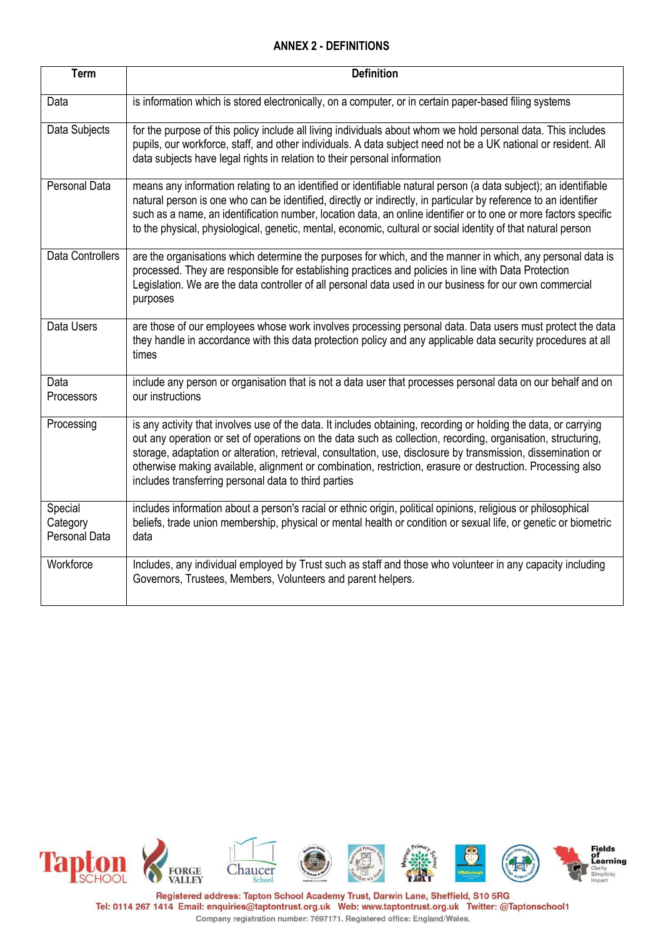## **ANNEX 2 - DEFINITIONS**

| <b>Term</b>                          | <b>Definition</b>                                                                                                                                                                                                                                                                                                                                                                                                                                                                                                       |
|--------------------------------------|-------------------------------------------------------------------------------------------------------------------------------------------------------------------------------------------------------------------------------------------------------------------------------------------------------------------------------------------------------------------------------------------------------------------------------------------------------------------------------------------------------------------------|
| Data                                 | is information which is stored electronically, on a computer, or in certain paper-based filing systems                                                                                                                                                                                                                                                                                                                                                                                                                  |
| Data Subjects                        | for the purpose of this policy include all living individuals about whom we hold personal data. This includes<br>pupils, our workforce, staff, and other individuals. A data subject need not be a UK national or resident. All<br>data subjects have legal rights in relation to their personal information                                                                                                                                                                                                            |
| Personal Data                        | means any information relating to an identified or identifiable natural person (a data subject); an identifiable<br>natural person is one who can be identified, directly or indirectly, in particular by reference to an identifier<br>such as a name, an identification number, location data, an online identifier or to one or more factors specific<br>to the physical, physiological, genetic, mental, economic, cultural or social identity of that natural person                                               |
| <b>Data Controllers</b>              | are the organisations which determine the purposes for which, and the manner in which, any personal data is<br>processed. They are responsible for establishing practices and policies in line with Data Protection<br>Legislation. We are the data controller of all personal data used in our business for our own commercial<br>purposes                                                                                                                                                                             |
| Data Users                           | are those of our employees whose work involves processing personal data. Data users must protect the data<br>they handle in accordance with this data protection policy and any applicable data security procedures at all<br>times                                                                                                                                                                                                                                                                                     |
| Data<br>Processors                   | include any person or organisation that is not a data user that processes personal data on our behalf and on<br>our instructions                                                                                                                                                                                                                                                                                                                                                                                        |
| Processing                           | is any activity that involves use of the data. It includes obtaining, recording or holding the data, or carrying<br>out any operation or set of operations on the data such as collection, recording, organisation, structuring,<br>storage, adaptation or alteration, retrieval, consultation, use, disclosure by transmission, dissemination or<br>otherwise making available, alignment or combination, restriction, erasure or destruction. Processing also<br>includes transferring personal data to third parties |
| Special<br>Category<br>Personal Data | includes information about a person's racial or ethnic origin, political opinions, religious or philosophical<br>beliefs, trade union membership, physical or mental health or condition or sexual life, or genetic or biometric<br>data                                                                                                                                                                                                                                                                                |
| Workforce                            | Includes, any individual employed by Trust such as staff and those who volunteer in any capacity including<br>Governors, Trustees, Members, Volunteers and parent helpers.                                                                                                                                                                                                                                                                                                                                              |

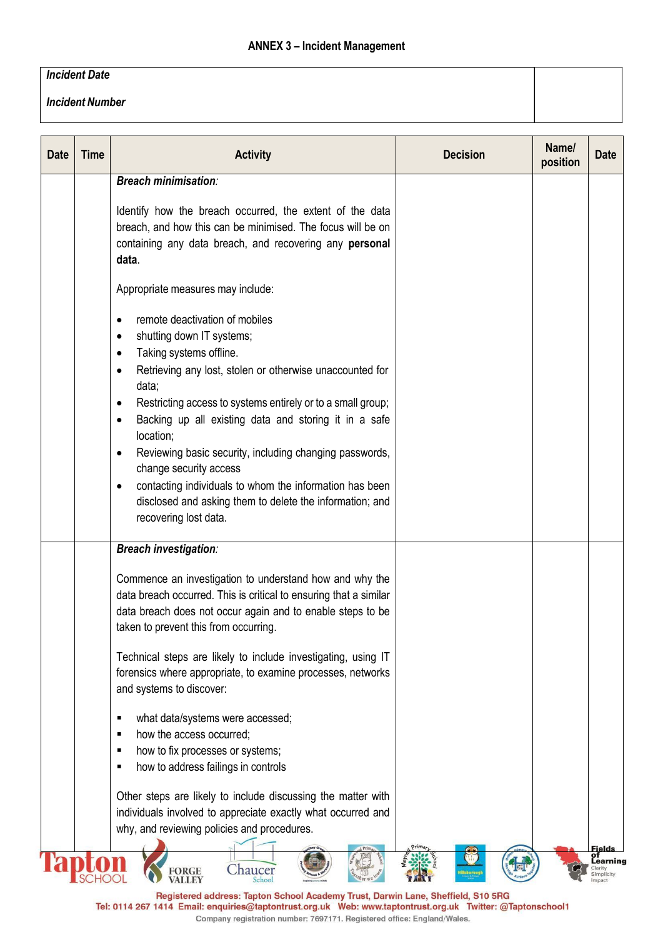# **ANNEX 3 – Incident Management**

### *Incident Date*

*Incident Number*

| <b>Date</b> | <b>Time</b> | <b>Activity</b>                                                                                                                                                                                                                                                                                                                                                                                                                                                                                                                                                                           | <b>Decision</b> | Name/<br>position | <b>Date</b>                             |
|-------------|-------------|-------------------------------------------------------------------------------------------------------------------------------------------------------------------------------------------------------------------------------------------------------------------------------------------------------------------------------------------------------------------------------------------------------------------------------------------------------------------------------------------------------------------------------------------------------------------------------------------|-----------------|-------------------|-----------------------------------------|
|             |             | <b>Breach minimisation:</b>                                                                                                                                                                                                                                                                                                                                                                                                                                                                                                                                                               |                 |                   |                                         |
|             |             | Identify how the breach occurred, the extent of the data<br>breach, and how this can be minimised. The focus will be on<br>containing any data breach, and recovering any personal<br>data.                                                                                                                                                                                                                                                                                                                                                                                               |                 |                   |                                         |
|             |             | Appropriate measures may include:                                                                                                                                                                                                                                                                                                                                                                                                                                                                                                                                                         |                 |                   |                                         |
|             |             | remote deactivation of mobiles<br>shutting down IT systems;<br>$\bullet$<br>Taking systems offline.<br>$\bullet$<br>Retrieving any lost, stolen or otherwise unaccounted for<br>data;<br>Restricting access to systems entirely or to a small group;<br>$\bullet$<br>Backing up all existing data and storing it in a safe<br>location;<br>Reviewing basic security, including changing passwords,<br>change security access<br>contacting individuals to whom the information has been<br>$\bullet$<br>disclosed and asking them to delete the information; and<br>recovering lost data. |                 |                   |                                         |
|             |             | <b>Breach investigation:</b>                                                                                                                                                                                                                                                                                                                                                                                                                                                                                                                                                              |                 |                   |                                         |
|             |             | Commence an investigation to understand how and why the<br>data breach occurred. This is critical to ensuring that a similar<br>data breach does not occur again and to enable steps to be<br>taken to prevent this from occurring.                                                                                                                                                                                                                                                                                                                                                       |                 |                   |                                         |
|             |             | Technical steps are likely to include investigating, using IT<br>forensics where appropriate, to examine processes, networks<br>and systems to discover:                                                                                                                                                                                                                                                                                                                                                                                                                                  |                 |                   |                                         |
|             |             | what data/systems were accessed;<br>٠<br>how the access occurred:<br>how to fix processes or systems;<br>how to address failings in controls                                                                                                                                                                                                                                                                                                                                                                                                                                              |                 |                   |                                         |
|             |             | Other steps are likely to include discussing the matter with<br>individuals involved to appreciate exactly what occurred and<br>why, and reviewing policies and procedures.                                                                                                                                                                                                                                                                                                                                                                                                               |                 |                   |                                         |
|             |             | Chaucer<br>FORGE<br>VALLEY                                                                                                                                                                                                                                                                                                                                                                                                                                                                                                                                                                |                 |                   | of<br>Learning<br>Clarity<br>Simplicity |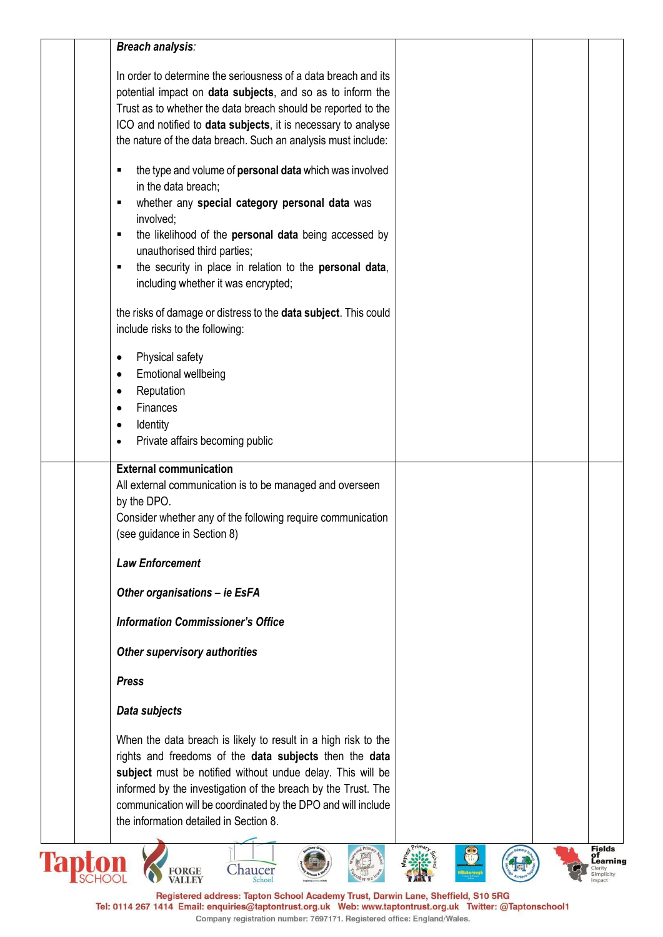| <b>Breach analysis:</b>                                         |                                         |
|-----------------------------------------------------------------|-----------------------------------------|
| In order to determine the seriousness of a data breach and its  |                                         |
| potential impact on data subjects, and so as to inform the      |                                         |
| Trust as to whether the data breach should be reported to the   |                                         |
| ICO and notified to data subjects, it is necessary to analyse   |                                         |
| the nature of the data breach. Such an analysis must include:   |                                         |
|                                                                 |                                         |
| the type and volume of personal data which was involved<br>٠    |                                         |
| in the data breach;                                             |                                         |
| whether any special category personal data was<br>٠             |                                         |
| involved;                                                       |                                         |
| the likelihood of the personal data being accessed by<br>٠      |                                         |
| unauthorised third parties;                                     |                                         |
| the security in place in relation to the personal data,         |                                         |
| including whether it was encrypted;                             |                                         |
|                                                                 |                                         |
| the risks of damage or distress to the data subject. This could |                                         |
| include risks to the following:                                 |                                         |
|                                                                 |                                         |
| Physical safety<br>$\bullet$                                    |                                         |
| Emotional wellbeing<br>$\bullet$                                |                                         |
| Reputation<br>$\bullet$                                         |                                         |
| Finances                                                        |                                         |
| Identity<br>$\bullet$                                           |                                         |
| Private affairs becoming public                                 |                                         |
| <b>External communication</b>                                   |                                         |
| All external communication is to be managed and overseen        |                                         |
| by the DPO.                                                     |                                         |
| Consider whether any of the following require communication     |                                         |
| (see guidance in Section 8)                                     |                                         |
|                                                                 |                                         |
| <b>Law Enforcement</b>                                          |                                         |
| Other organisations - ie EsFA                                   |                                         |
|                                                                 |                                         |
| <b>Information Commissioner's Office</b>                        |                                         |
| Other supervisory authorities                                   |                                         |
|                                                                 |                                         |
| <b>Press</b>                                                    |                                         |
| Data subjects                                                   |                                         |
|                                                                 |                                         |
| When the data breach is likely to result in a high risk to the  |                                         |
| rights and freedoms of the data subjects then the data          |                                         |
| subject must be notified without undue delay. This will be      |                                         |
| informed by the investigation of the breach by the Trust. The   |                                         |
| communication will be coordinated by the DPO and will include   |                                         |
| the information detailed in Section 8.                          |                                         |
|                                                                 | <b>Fields</b>                           |
| Chaucer<br><b>FORGE</b>                                         | of<br>Learning<br>Clarity<br>Simplicity |
|                                                                 |                                         |

Registered address: Tapton School Academy Trust, Darwin Lane, Sheffield, S10 5RG<br>Tel: 0114 267 1414 Email: enquiries@taptontrust.org.uk Web: www.taptontrust.org.uk Twitter: @Taptonschool1<br>Company registration number: 76971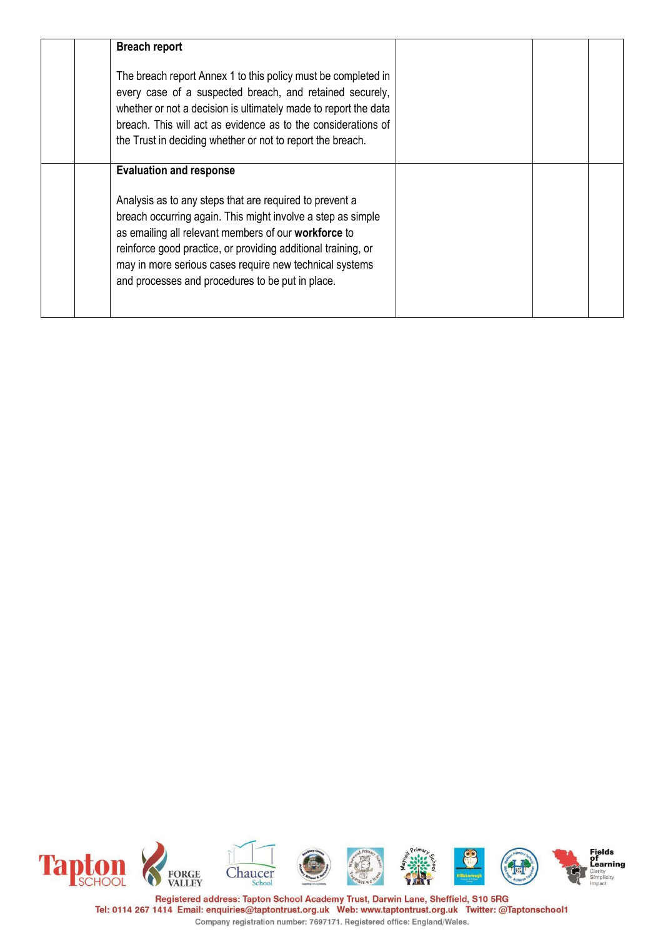| <b>Breach report</b>                                                                                                                                                                                                                                                                                                                                           |  |  |
|----------------------------------------------------------------------------------------------------------------------------------------------------------------------------------------------------------------------------------------------------------------------------------------------------------------------------------------------------------------|--|--|
| The breach report Annex 1 to this policy must be completed in<br>every case of a suspected breach, and retained securely,<br>whether or not a decision is ultimately made to report the data<br>breach. This will act as evidence as to the considerations of<br>the Trust in deciding whether or not to report the breach.                                    |  |  |
| <b>Evaluation and response</b>                                                                                                                                                                                                                                                                                                                                 |  |  |
| Analysis as to any steps that are required to prevent a<br>breach occurring again. This might involve a step as simple<br>as emailing all relevant members of our workforce to<br>reinforce good practice, or providing additional training, or<br>may in more serious cases require new technical systems<br>and processes and procedures to be put in place. |  |  |